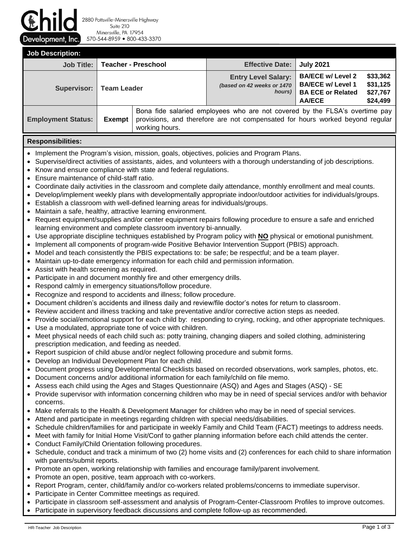Development, Inc.

2880 Pottsville-Minersville Highway Suite 210 Minersville, PA 17954 570-544-8959 800-433-3370

**Job Description: Job Title: Teacher - Preschool Effective Date: July 2021 Supervisor: Team Leader Entry Level Salary:** *(based on 42 weeks or 1470 hours)* **BA/ECE w/ Level 2 BA/ECE w/ Level 1 BA ECE or Related AA/ECE \$33,362 \$31,125 \$27,767 \$24,499 Employment Status: Exempt**  Bona fide salaried employees who are not covered by the FLSA's overtime pay provisions, and therefore are not compensated for hours worked beyond regular working hours.

# **Responsibilities:**

- Implement the Program's vision, mission, goals, objectives, policies and Program Plans.
- Supervise/direct activities of assistants, aides, and volunteers with a thorough understanding of job descriptions.
- Know and ensure compliance with state and federal regulations.
- Ensure maintenance of child-staff ratio.
- Coordinate daily activities in the classroom and complete daily attendance, monthly enrollment and meal counts.
- Develop/implement weekly plans with developmentally appropriate indoor/outdoor activities for individuals/groups.
- Establish a classroom with well-defined learning areas for individuals/groups.
- Maintain a safe, healthy, attractive learning environment.
- Request equipment/supplies and/or center equipment repairs following procedure to ensure a safe and enriched learning environment and complete classroom inventory bi-annually.
- Use appropriate discipline techniques established by Program policy with **NO** physical or emotional punishment.
- Implement all components of program-wide Positive Behavior Intervention Support (PBIS) approach.
- Model and teach consistently the PBIS expectations to: be safe; be respectful; and be a team player.
- Maintain up-to-date emergency information for each child and permission information.
- Assist with health screening as required.
- Participate in and document monthly fire and other emergency drills.
- Respond calmly in emergency situations/follow procedure.
- Recognize and respond to accidents and illness; follow procedure.
- Document children's accidents and illness daily and review/file doctor's notes for return to classroom.
- Review accident and illness tracking and take preventative and/or corrective action steps as needed.
- Provide social/emotional support for each child by: responding to crying, rocking, and other appropriate techniques.
- Use a modulated, appropriate tone of voice with children.
- Meet physical needs of each child such as: potty training, changing diapers and soiled clothing, administering prescription medication, and feeding as needed.
- Report suspicion of child abuse and/or neglect following procedure and submit forms.
- Develop an Individual Development Plan for each child.
- Document progress using Developmental Checklists based on recorded observations, work samples, photos, etc.
- Document concerns and/or additional information for each family/child on file memo.
- Assess each child using the Ages and Stages Questionnaire (ASQ) and Ages and Stages (ASQ) SE
- Provide supervisor with information concerning children who may be in need of special services and/or with behavior concerns.
- Make referrals to the Health & Development Manager for children who may be in need of special services.
- Attend and participate in meetings regarding children with special needs/disabilities.
- Schedule children/families for and participate in weekly Family and Child Team (FACT) meetings to address needs.
- Meet with family for Initial Home Visit/Conf to gather planning information before each child attends the center.
- Conduct Family/Child Orientation following procedures.
- Schedule, conduct and track a minimum of two (2) home visits and (2) conferences for each child to share information with parents/submit reports.
- Promote an open, working relationship with families and encourage family/parent involvement.
- Promote an open, positive, team approach with co-workers.
- Report Program, center, child/family and/or co-workers related problems/concerns to immediate supervisor.
- Participate in Center Committee meetings as required.
- Participate in classroom self-assessment and analysis of Program-Center-Classroom Profiles to improve outcomes.
- Participate in supervisory feedback discussions and complete follow-up as recommended.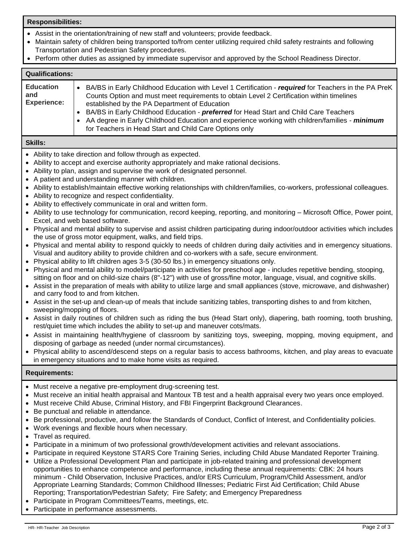# **Responsibilities:**

- Assist in the orientation/training of new staff and volunteers; provide feedback.
- Maintain safety of children being transported to/from center utilizing required child safety restraints and following Transportation and Pedestrian Safety procedures.
- Perform other duties as assigned by immediate supervisor and approved by the School Readiness Director.

#### **Qualifications: Education and Experience:** • BA/BS in Early Childhood Education with Level 1 Certification - *required* for Teachers in the PA PreK Counts Option and must meet requirements to obtain Level 2 Certification within timelines established by the PA Department of Education • BA/BS in Early Childhood Education - *preferred* for Head Start and Child Care Teachers • AA degree in Early Childhood Education and experience working with children/families - *minimum* for Teachers in Head Start and Child Care Options only

# **Skills:**

- Ability to take direction and follow through as expected.
- Ability to accept and exercise authority appropriately and make rational decisions.
- Ability to plan, assign and supervise the work of designated personnel.
- A patient and understanding manner with children.
- Ability to establish/maintain effective working relationships with children/families, co-workers, professional colleagues.
- Ability to recognize and respect confidentiality.
- Ability to effectively communicate in oral and written form.
- Ability to use technology for communication, record keeping, reporting, and monitoring Microsoft Office, Power point, Excel, and web based software.
- Physical and mental ability to supervise and assist children participating during indoor/outdoor activities which includes the use of gross motor equipment, walks, and field trips.
- Physical and mental ability to respond quickly to needs of children during daily activities and in emergency situations. Visual and auditory ability to provide children and co-workers with a safe, secure environment.
- Physical ability to lift children ages 3-5 (30-50 lbs.) in emergency situations only.
- Physical and mental ability to model/participate in activities for preschool age includes repetitive bending, stooping, sitting on floor and on child-size chairs (8"-12") with use of gross/fine motor, language, visual, and cognitive skills.
- Assist in the preparation of meals with ability to utilize large and small appliances (stove, microwave, and dishwasher) and carry food to and from kitchen.
- Assist in the set-up and clean-up of meals that include sanitizing tables, transporting dishes to and from kitchen, sweeping/mopping of floors.
- Assist in daily routines of children such as riding the bus (Head Start only), diapering, bath rooming, tooth brushing, rest/quiet time which includes the ability to set-up and maneuver cots/mats.
- Assist in maintaining health/hygiene of classroom by sanitizing toys, sweeping, mopping, moving equipment, and disposing of garbage as needed (under normal circumstances).
- Physical ability to ascend/descend steps on a regular basis to access bathrooms, kitchen, and play areas to evacuate in emergency situations and to make home visits as required.

# **Requirements:**

- Must receive a negative pre-employment drug-screening test.
- Must receive an initial health appraisal and Mantoux TB test and a health appraisal every two years once employed.
- Must receive Child Abuse, Criminal History, and FBI Fingerprint Background Clearances.
- Be punctual and reliable in attendance.
- Be professional, productive, and follow the Standards of Conduct, Conflict of Interest, and Confidentiality policies.
- Work evenings and flexible hours when necessary.
- Travel as required.
- Participate in a minimum of two professional growth/development activities and relevant associations.
- Participate in required Keystone STARS Core Training Series, including Child Abuse Mandated Reporter Training.
- Utilize a Professional Development Plan and participate in job-related training and professional development opportunities to enhance competence and performance, including these annual requirements: CBK: 24 hours minimum - Child Observation, Inclusive Practices, and/or ERS Curriculum, Program/Child Assessment, and/or Appropriate Learning Standards; Common Childhood Illnesses; Pediatric First Aid Certification; Child Abuse Reporting; Transportation/Pedestrian Safety; Fire Safety; and Emergency Preparedness
- Participate in Program Committees/Teams, meetings, etc.
- Participate in performance assessments.